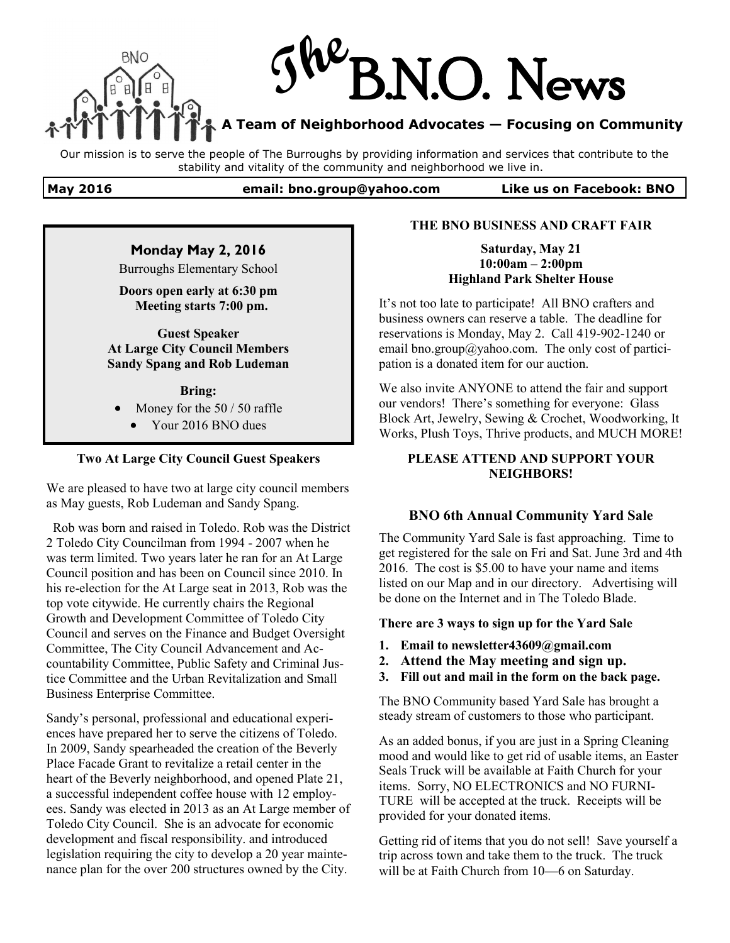

Our mission is to serve the people of The Burroughs by providing information and services that contribute to the stability and vitality of the community and neighborhood we live in.

#### **May 2016 email: bno.group@yahoo.com Like us on Facebook: BNO**

### **Monday May 2, 2016**

Burroughs Elementary School

**Doors open early at 6:30 pm Meeting starts 7:00 pm.**

**Guest Speaker At Large City Council Members Sandy Spang and Rob Ludeman**

**Bring:**

- Money for the 50 / 50 raffle
	- Your 2016 BNO dues

### **Two At Large City Council Guest Speakers**

We are pleased to have two at large city council members as May guests, Rob Ludeman and Sandy Spang.

 Rob was born and raised in Toledo. Rob was the District 2 Toledo City Councilman from 1994 - 2007 when he was term limited. Two years later he ran for an At Large Council position and has been on Council since 2010. In his re-election for the At Large seat in 2013, Rob was the top vote citywide. He currently chairs the Regional Growth and Development Committee of Toledo City Council and serves on the Finance and Budget Oversight Committee, The City Council Advancement and Accountability Committee, Public Safety and Criminal Justice Committee and the Urban Revitalization and Small Business Enterprise Committee.

Sandy's personal, professional and educational experiences have prepared her to serve the citizens of Toledo. In 2009, Sandy spearheaded the creation of the Beverly Place Facade Grant to revitalize a retail center in the heart of the Beverly neighborhood, and opened Plate 21, a successful independent coffee house with 12 employees. Sandy was elected in 2013 as an At Large member of Toledo City Council. She is an advocate for economic development and fiscal responsibility. and introduced legislation requiring the city to develop a 20 year maintenance plan for the over 200 structures owned by the City.

#### **THE BNO BUSINESS AND CRAFT FAIR**

**Saturday, May 21 10:00am – 2:00pm Highland Park Shelter House** 

It's not too late to participate! All BNO crafters and business owners can reserve a table. The deadline for reservations is Monday, May 2. Call 419-902-1240 or email bno.group@yahoo.com. The only cost of participation is a donated item for our auction.

We also invite ANYONE to attend the fair and support our vendors! There's something for everyone: Glass Block Art, Jewelry, Sewing & Crochet, Woodworking, It Works, Plush Toys, Thrive products, and MUCH MORE!

### **PLEASE ATTEND AND SUPPORT YOUR NEIGHBORS!**

### **BNO 6th Annual Community Yard Sale**

The Community Yard Sale is fast approaching. Time to get registered for the sale on Fri and Sat. June 3rd and 4th 2016. The cost is \$5.00 to have your name and items listed on our Map and in our directory. Advertising will be done on the Internet and in The Toledo Blade.

### **There are 3 ways to sign up for the Yard Sale**

- **1. Email to newsletter43609@gmail.com**
- **2. Attend the May meeting and sign up.**
- **3. Fill out and mail in the form on the back page.**

The BNO Community based Yard Sale has brought a steady stream of customers to those who participant.

As an added bonus, if you are just in a Spring Cleaning mood and would like to get rid of usable items, an Easter Seals Truck will be available at Faith Church for your items. Sorry, NO ELECTRONICS and NO FURNI-TURE will be accepted at the truck. Receipts will be provided for your donated items.

Getting rid of items that you do not sell! Save yourself a trip across town and take them to the truck. The truck will be at Faith Church from 10—6 on Saturday.